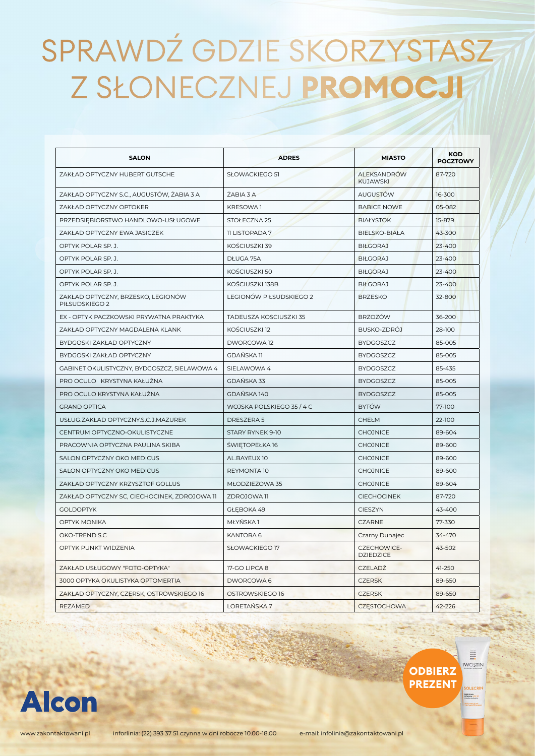| <b>SALON</b>                                         | <b>ADRES</b>              | <b>MIASTO</b>                          | <b>KOD</b><br><b>POCZTOWY</b> |
|------------------------------------------------------|---------------------------|----------------------------------------|-------------------------------|
| ZAKŁAD OPTYCZNY HUBERT GUTSCHE                       | SŁOWACKIEGO 51            | <b>ALEKSANDRÓW</b><br><b>KUJAWSKI</b>  | 87-720                        |
| ZAKŁAD OPTYCZNY S.C., AUGUSTÓW, ŻABIA 3 A            | ŻABIA 3 A                 | <b>AUGUSTÓW</b>                        | 16-300                        |
| ZAKŁAD OPTYCZNY OPTOKER                              | KRESOWA <sub>1</sub>      | <b>BABICE NOWE</b>                     | 05-082                        |
| PRZEDSIEBIORSTWO HANDLOWO-USŁUGOWE                   | STOŁECZNA 25              | <b>BIAŁYSTOK</b>                       | 15-879                        |
| ZAKŁAD OPTYCZNY EWA JASICZEK                         | <b>11 LISTOPADA 7</b>     | <b>BIELSKO-BIAŁA</b>                   | 43-300                        |
| OPTYK POLAR SP. J.                                   | KOŚCIUSZKI 39             | <b>BIŁGORAJ</b>                        | 23-400                        |
| OPTYK POLAR SP. J.                                   | DŁUGA 75A                 | <b>BIŁGORAJ</b>                        | $23 - 400$                    |
| OPTYK POLAR SP. J.                                   | KOŚCIUSZKI 50             | <b>BIŁGORAJ</b>                        | 23-400                        |
| OPTYK POLAR SP. J.                                   | KOŚCIUSZKI 138B           | <b>BIŁGORAJ</b>                        | $23 - 400$                    |
| ZAKŁAD OPTYCZNY, BRZESKO, LEGIONÓW<br>PIŁSUDSKIEGO 2 | LEGIONÓW PIŁSUDSKIEGO 2   | <b>BRZESKO</b>                         | 32-800                        |
| EX - OPTYK PACZKOWSKI PRYWATNA PRAKTYKA              | TADEUSZA KOSCIUSZKI 35    | <b>BRZOZÓW</b>                         | 36-200                        |
| ZAKŁAD OPTYCZNY MAGDALENA KLANK                      | KOŚCIUSZKI 12             | BUSKO-ZDRÓJ                            | 28-100                        |
| BYDGOSKI ZAKŁAD OPTYCZNY                             | DWORCOWA 12               | <b>BYDGOSZCZ</b>                       | 85-005                        |
| BYDGOSKI ZAKŁAD OPTYCZNY                             | <b>GDAŃSKA 11</b>         | <b>BYDGOSZCZ</b>                       | 85-005                        |
| GABINET OKULISTYCZNY, BYDGOSZCZ, SIELAWOWA 4         | SIELAWOWA 4               | <b>BYDGOSZCZ</b>                       | 85-435                        |
| PRO OCULO KRYSTYNA KAŁUŻNA                           | <b>GDAŃSKA 33</b>         | <b>BYDGOSZCZ</b>                       | 85-005                        |
| PRO OCULO KRYSTYNA KAŁUŻNA                           | GDAŃSKA 140               | <b>BYDGOSZCZ</b>                       | 85-005                        |
| <b>GRAND OPTICA</b>                                  | WOJSKA POLSKIEGO 35 / 4 C | <b>BYTÓW</b>                           | 77-100                        |
| USŁUG.ZAKŁAD OPTYCZNY.S.C.J.MAZUREK                  | DRESZERA 5                | CHEŁM                                  | 22-100                        |
| CENTRUM OPTYCZNO-OKULISTYCZNE                        | STARY RYNEK 9-10          | <b>CHOJNICE</b>                        | 89-604                        |
| PRACOWNIA OPTYCZNA PAULINA SKIBA                     | ŚWIĘTOPEŁKA 16            | <b>CHOJNICE</b>                        | 89-600                        |
| SALON OPTYCZNY OKO MEDICUS                           | AL.BAYEUX 10              | <b>CHOJNICE</b>                        | 89-600                        |
| SALON OPTYCZNY OKO MEDICUS                           | REYMONTA 10               | <b>CHOJNICE</b>                        | 89-600                        |
| ZAKŁAD OPTYCZNY KRZYSZTOF GOLLUS                     | MŁODZIEŻOWA 35            | <b>CHOJNICE</b>                        | 89-604                        |
| ZAKŁAD OPTYCZNY SC, CIECHOCINEK, ZDROJOWA 11         | ZDROJOWA 11               | <b>CIECHOCINEK</b>                     | 87-720                        |
| <b>GOLDOPTYK</b>                                     | GŁEBOKA 49                | <b>CIESZYN</b>                         | 43-400                        |
| OPTYK MONIKA                                         | MŁYŃSKA 1                 | <b>CZARNE</b>                          | 77-330                        |
| OKO-TREND S.C                                        | <b>KANTORA 6</b>          | Czarny Dunajec                         | 34-470                        |
| OPTYK PUNKT WIDZENIA                                 | SŁOWACKIEGO 17            | <b>CZECHOWICE-</b><br><b>DZIEDZICE</b> | 43-502                        |
| ZAKŁAD USŁUGOWY "FOTO-OPTYKA"                        | 17-GO LIPCA 8             | <b>CZELADŹ</b>                         | 41-250                        |
| 3000 OPTYKA OKULISTYKA OPTOMERTIA                    | DWORCOWA 6                | <b>CZERSK</b>                          | 89-650                        |
| ZAKŁAD OPTYCZNY, CZERSK, OSTROWSKIEGO 16             | OSTROWSKIEGO 16           | <b>CZERSK</b>                          | 89-650                        |
| <b>REZAMED</b>                                       | LORETAŃSKA 7              | <b>CZESTOCHOWA</b>                     | 42-226                        |



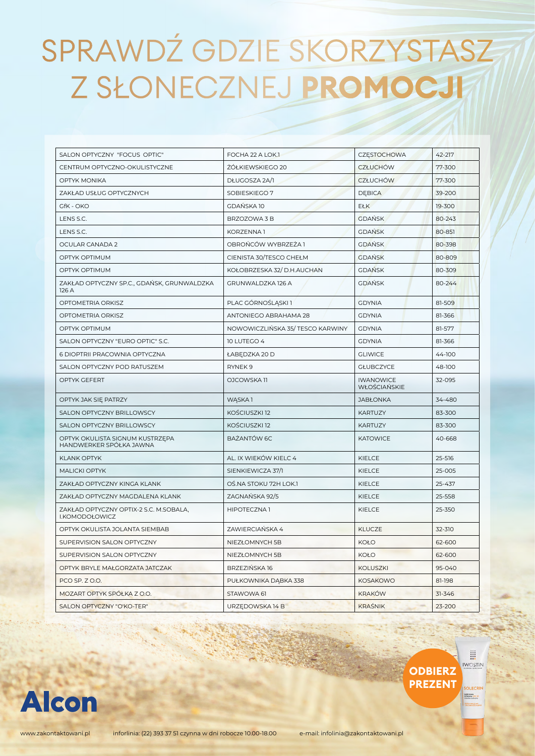| SALON OPTYCZNY "FOCUS OPTIC"                               | FOCHA 22 A LOK.1                | CZESTOCHOWA                      | 42-217 |
|------------------------------------------------------------|---------------------------------|----------------------------------|--------|
| CENTRUM OPTYCZNO-OKULISTYCZNE                              | ŻÓŁKIEWSKIEGO 20                | <b>CZŁUCHÓW</b>                  | 77-300 |
| OPTYK MONIKA                                               | DŁUGOSZA 2A/1                   | <b>CZŁUCHÓW</b>                  | 77-300 |
| ZAKŁAD USŁUG OPTYCZNYCH                                    | SOBIESKIEGO 7                   | <b>DEBICA</b>                    | 39-200 |
| GfK - OKO                                                  | <b>GDAŃSKA 10</b>               | <b>EŁK</b>                       | 19-300 |
| LENS S.C.                                                  | BRZOZOWA 3 B                    | <b>GDAŃSK</b>                    | 80-243 |
| LENS S.C.                                                  | KORZENNA1                       | <b>GDAŃSK</b>                    | 80-851 |
| OCULAR CANADA 2                                            | OBROŃCÓW WYBRZEŻA 1             | <b>GDAŃSK</b>                    | 80-398 |
| OPTYK OPTIMUM                                              | CIENISTA 30/TESCO CHEŁM         | <b>GDANSK</b>                    | 80-809 |
| <b>OPTYK OPTIMUM</b>                                       | KOŁOBRZESKA 32/ D.H.AUCHAN      | <b>GDANSK</b>                    | 80-309 |
| ZAKŁAD OPTYCZNY SP.C., GDAŃSK, GRUNWALDZKA<br>126 A        | GRUNWALDZKA 126 A               | <b>GDAŃSK</b>                    | 80-244 |
| OPTOMETRIA ORKISZ                                          | PLAC GÓRNOŚLĄSKI1               | <b>GDYNIA</b>                    | 81-509 |
| OPTOMETRIA ORKISZ                                          | ANTONIEGO ABRAHAMA 28           | <b>GDYNIA</b>                    | 81-366 |
| OPTYK OPTIMUM                                              | NOWOWICZLIŃSKA 35/TESCO KARWINY | <b>GDYNIA</b>                    | 81-577 |
| SALON OPTYCZNY "EURO OPTIC" S.C.                           | 10 LUTEGO 4                     | <b>GDYNIA</b>                    | 81-366 |
| 6 DIOPTRII PRACOWNIA OPTYCZNA                              | ŁABEDZKA 20 D                   | <b>GLIWICE</b>                   | 44-100 |
| SALON OPTYCZNY POD RATUSZEM                                | RYNEK <sub>9</sub>              | <b>GŁUBCZYCE</b>                 | 48-100 |
| OPTYK GEFERT                                               | OJCOWSKA 11                     | <b>IWANOWICE</b><br>WŁOŚCIAŃSKIE | 32-095 |
| OPTYK JAK SIĘ PATRZY                                       | WĄSKA1                          | <b>JABŁONKA</b>                  | 34-480 |
| SALON OPTYCZNY BRILLOWSCY                                  | KOŚCIUSZKI 12                   | <b>KARTUZY</b>                   | 83-300 |
| SALON OPTYCZNY BRILLOWSCY                                  | KOŚCIUSZKI 12                   | <b>KARTUZY</b>                   | 83-300 |
| OPTYK OKULISTA SIGNUM KUSTRZĘPA<br>HANDWERKER SPÓŁKA JAWNA | BAŻANTÓW 6C                     | <b>KATOWICE</b>                  | 40-668 |
| <b>KLANK OPTYK</b>                                         | AL. IX WIEKÓW KIELC 4           | <b>KIELCE</b>                    | 25-516 |
| <b>MALICKI OPTYK</b>                                       | SIENKIEWICZA 37/1               | <b>KIELCE</b>                    | 25-005 |
| ZAKŁAD OPTYCZNY KINGA KLANK                                | OŚ.NA STOKU 72H LOK.1           | KIELCE                           | 25-437 |
| ZAKŁAD OPTYCZNY MAGDALENA KLANK                            | ZAGNAŃSKA 92/5                  | KIELCE                           | 25-558 |
| ZAKŁAD OPTYCZNY OPTIX-2 S.C. M.SOBALA,<br>I.KOMODOŁOWICZ   | HIPOTECZNA1                     | <b>KIELCE</b>                    | 25-350 |
| OPTYK OKULISTA JOLANTA SIEMBAB                             | ZAWIERCIAŃSKA 4                 | <b>KLUCZE</b>                    | 32-310 |
| SUPERVISION SALON OPTYCZNY                                 | NIEZŁOMNYCH 5B                  | <b>KOŁO</b>                      | 62-600 |
| SUPERVISION SALON OPTYCZNY                                 | NIEZŁOMNYCH 5B                  | <b>KOŁO</b>                      | 62-600 |
| OPTYK BRYLE MAŁGORZATA JATCZAK                             | BRZEZIŃSKA 16                   | <b>KOLUSZKI</b>                  | 95-040 |
| PCO SP. Z O.O.                                             | PUŁKOWNIKA DĄBKA 338            | <b>KOSAKOWO</b>                  | 81-198 |
| MOZART OPTYK SPÓŁKA Z O.O.                                 | STAWOWA 61                      | <b>KRAKÓW</b>                    | 31-346 |
| <b>SALON OPTYCZNY "O'KO-TER"</b>                           | URZEDOWSKA 14 B                 | <b>KRAŚNIK</b>                   | 23-200 |

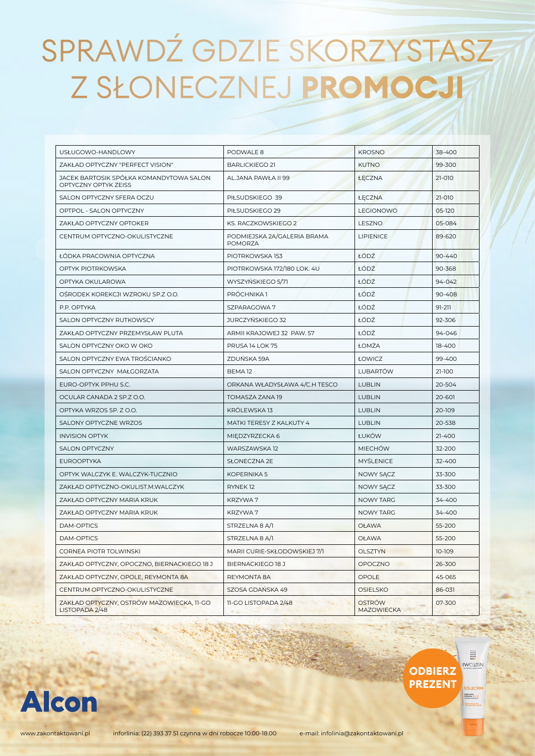| USŁUGOWO-HANDLOWY                                               | PODWALE 8                              | <b>KROSNO</b>                      | 38-400     |
|-----------------------------------------------------------------|----------------------------------------|------------------------------------|------------|
| ZAKŁAD OPTYCZNY "PERFECT VISION"                                | <b>BARLICKIEGO 21</b>                  | <b>KUTNO</b>                       | 99-300     |
| JACEK BARTOSIK SPÓŁKA KOMANDYTOWA SALON<br>OPTYCZNY OPTYK ZEISS | AL.JANA PAWŁA II 99                    | ŁĘCZNA                             | 21-010     |
| SALON OPTYCZNY SFERA OCZU                                       | PIŁSUDSKIEGO 39                        | ŁĘCZNA                             | 21-010     |
| OPTPOL - SALON OPTYCZNY                                         | PIŁSUDSKIEGO 29                        | <b>LEGIONOWO</b>                   | 05-120     |
| ZAKŁAD OPTYCZNY OPTOKER                                         | KS. RACZKOWSKIEGO 2                    | LESZNO                             | 05-084     |
| CENTRUM OPTYCZNO-OKULISTYCZNE                                   | PODMIEJSKA 2A/GALERIA BRAMA<br>POMORZA | <b>LIPIENICE</b>                   | 89-620     |
| ŁÓDKA PRACOWNIA OPTYCZNA                                        | PIOTRKOWSKA 153                        | ŁÓDŹ                               | $90 - 440$ |
| OPTYK PIOTRKOWSKA                                               | PIOTRKOWSKA 172/180 LOK. 4U            | ŁÓDŹ                               | 90-368     |
| OPTYKA OKULAROWA                                                | WYSZYŃSKIEGO 5/71                      | ŁÓDŹ                               | 94-042     |
| OSRODEK KOREKCJI WZROKU SP.Z O.O.                               | PRÓCHNIKA <sub>1</sub>                 | ŁÓDŹ                               | 90-408     |
| P.P. OPTYKA                                                     | SZPARAGOWA 7                           | ŁÓDŹ                               | 91-211     |
| SALON OPTYCZNY RUTKOWSCY                                        | JURCZYŃSKIEGO 32                       | ŁÓDŹ                               | 92-306     |
| ZAKŁAD OPTYCZNY PRZEMYSŁAW PLUTA                                | ARMII KRAJOWEJ 32 PAW. 57              | ŁÓDŹ                               | 94-046     |
| SALON OPTYCZNY OKO W OKO                                        | PRUSA 14 LOK 75                        | ŁOMŻA                              | 18-400     |
| SALON OPTYCZNY EWA TROŚCIANKO                                   | ZDUŃSKA 59A                            | <b>ŁOWICZ</b>                      | 99-400     |
| SALON OPTYCZNY MAŁGORZATA                                       | BEMA <sub>12</sub>                     | <b>LUBARTÓW</b>                    | 21-100     |
| EURO-OPTYK PPHU S.C.                                            | ORKANA WŁADYSŁAWA 4/C.H TESCO          | <b>LUBLIN</b>                      | 20-504     |
| OCULAR CANADA 2 SP.Z O.O.                                       | TOMASZA ZANA 19                        | <b>LUBLIN</b>                      | 20-601     |
| OPTYKA WRZOS SP. Z O.O.                                         | KRÓLEWSKA 13                           | <b>LUBLIN</b>                      | 20-109     |
| SALONY OPTYCZNE WRZOS                                           | MATKI TERESY Z KALKUTY 4               | <b>LUBLIN</b>                      | 20-538     |
| <b>INVISION OPTYK</b>                                           | MIEDZYRZECKA 6                         | ŁUKÓW                              | 21-400     |
| <b>SALON OPTYCZNY</b>                                           | WARSZAWSKA 12                          | <b>MIECHOW</b>                     | 32-200     |
| <b>EUROOPTYKA</b>                                               | SŁONECZNA 2E                           | <b>MYŚLENICE</b>                   | 32-400     |
| OPTYK WALCZYK E. WALCZYK-TUCZNIO                                | KOPERNIKA 5                            | NOWY SĄCZ                          | 33-300     |
| ZAKŁAD OPTYCZNO-OKULIST.M.WALCZYK                               | RYNEK <sub>12</sub>                    | NOWY SACZ                          | 33-300     |
| ZAKŁAD OPTYCZNY MARIA KRUK                                      | KRZYWA 7                               | NOWY TARG                          | 34-400     |
| ZAKŁAD OPTYCZNY MARIA KRUK                                      | KRZYWA 7                               | <b>NOWY TARG</b>                   | 34-400     |
| <b>DAM-OPTICS</b>                                               | STRZELNA 8 A/1                         | <b>OŁAWA</b>                       | 55-200     |
| DAM-OPTICS                                                      | STRZELNA 8 A/1                         | <b>OŁAWA</b>                       | 55-200     |
| CORNEA PIOTR TOLWINSKI                                          | MARII CURIE-SKŁODOWSKIEJ 7/1           | <b>OLSZTYN</b>                     | 10-109     |
| ZAKŁAD OPTYCZNY, OPOCZNO, BIERNACKIEGO 18 J                     | BIERNACKIEGO 18 J                      | OPOCZNO                            | 26-300     |
| ZAKŁAD OPTYCZNY, OPOLE, REYMONTA 8A                             | REYMONTA 8A                            | OPOLE                              | 45-065     |
| CENTRUM OPTYCZNO-OKULISTYCZNE                                   | SZOSA GDAŃSKA 49                       | <b>OSIELSKO</b>                    | 86-031     |
| ZAKŁAD OPTYCZNY, OSTRÓW MAZOWIECKA, 11-GO<br>LISTOPADA 2/48     | 11-GO LISTOPADA 2/48                   | <b>OSTRÓW</b><br><b>MAZOWIECKA</b> | 07-300     |



**OLECRII** 

akki krem<br>Khronery SPF 3

**ODBIERZ PREZENT**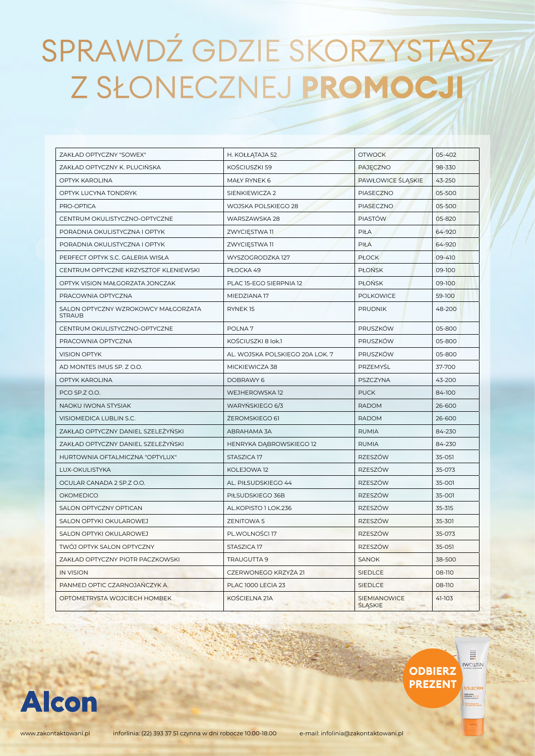| ZAKŁAD OPTYCZNY "SOWEX"                              | H. KOŁŁĄTAJA 52                 | <b>OTWOCK</b>                         | 05-402 |
|------------------------------------------------------|---------------------------------|---------------------------------------|--------|
| ZAKŁAD OPTYCZNY K. PLUCIŃSKA                         | KOŚCIUSZKI 59                   | PAJECZNO                              | 98-330 |
| OPTYK KAROLINA                                       | MAŁY RYNEK 6                    | PAWŁOWICE ŚLĄSKIE                     | 43-250 |
| OPTYK LUCYNA TONDRYK                                 | SIENKIEWICZA 2                  | <b>PIASECZNO</b>                      | 05-500 |
| PRO-OPTICA                                           | WOJSKA POLSKIEGO 28             | <b>PIASECZNO</b>                      | 05-500 |
| CENTRUM OKULISTYCZNO-OPTYCZNE                        | WARSZAWSKA 28                   | <b>PIASTÓW</b>                        | 05-820 |
| PORADNIA OKULISTYCZNA I OPTYK                        | ZWYCIESTWA 11                   | PIŁA                                  | 64-920 |
| PORADNIA OKULISTYCZNA I OPTYK                        | ZWYCIĘSTWA 11                   | <b>PIŁA</b>                           | 64-920 |
| PERFECT OPTYK S.C. GALERIA WISŁA                     | WYSZOGRODZKA 127                | <b>PŁOCK</b>                          | 09-410 |
| CENTRUM OPTYCZNE KRZYSZTOF KLENIEWSKI                | PŁOCKA 49                       | <b>PŁOŃSK</b>                         | 09-100 |
| OPTYK VISION MAŁGORZATA JONCZAK                      | PLAC 15-EGO SIERPNIA 12         | <b>PŁOŃSK</b>                         | 09-100 |
| PRACOWNIA OPTYCZNA                                   | MIEDZIANA 17                    | <b>POLKOWICE</b>                      | 59-100 |
| SALON OPTYCZNY WZROKOWCY MAŁGORZATA<br><b>STRAUB</b> | RYNEK15                         | <b>PRUDNIK</b>                        | 48-200 |
| CENTRUM OKULISTYCZNO-OPTYCZNE                        | POLNA <sub>7</sub>              | PRUSZKÓW                              | 05-800 |
| PRACOWNIA OPTYCZNA                                   | KOŚCIUSZKI 8 lok.1              | PRUSZKÓW                              | 05-800 |
| <b>VISION OPTYK</b>                                  | AL. WOJSKA POLSKIEGO 20A LOK. 7 | PRUSZKÓW                              | 05-800 |
| AD MONTES IMUS SP. Z O.O.                            | MICKIEWICZA 38                  | PRZEMYŚL                              | 37-700 |
| OPTYK KAROLINA                                       | DOBRAWY 6                       | PSZCZYNA                              | 43-200 |
| PCO SP.Z O.O.                                        | WEJHEROWSKA 12                  | <b>PUCK</b>                           | 84-100 |
| NAOKU IWONA STYSIAK                                  | WARYNSKIEGO 6/3                 | <b>RADOM</b>                          | 26-600 |
| VISIOMEDICA LUBLIN S.C.                              | ŻEROMSKIEGO 61                  | <b>RADOM</b>                          | 26-600 |
| ZAKŁAD OPTYCZNY DANIEL SZELEŻYŃSKI                   | ABRAHAMA 3A                     | <b>RUMIA</b>                          | 84-230 |
| ZAKŁAD OPTYCZNY DANIEL SZELEŻYŃSKI                   | HENRYKA DABROWSKIEGO 12         | <b>RUMIA</b>                          | 84-230 |
| HURTOWNIA OFTALMICZNA "OPTYLUX"                      | STASZICA 17                     | RZESZÓW                               | 35-051 |
| LUX-OKULISTYKA                                       | KOLEJOWA 12                     | RZESZÓW                               | 35-073 |
| OCULAR CANADA 2 SP.Z O.O.                            | AL. PIŁSUDSKIEGO 44             | RZESZÓW                               | 35-001 |
| <b>OKOMEDICO</b>                                     | PIŁSUDSKIEGO 36B                | RZESZÓW                               | 35-001 |
| SALON OPTYCZNY OPTICAN                               | AL.KOPISTO 1 LOK.236            | <b>RZESZÓW</b>                        | 35-315 |
| SALON OPTYKI OKULAROWEJ                              | <b>ZENITOWA 5</b>               | RZESZÓW                               | 35-301 |
| SALON OPTYKI OKULAROWEJ                              | PL.WOLNOŚCI 17                  | <b>RZESZÓW</b>                        | 35-073 |
| TWÓJ OPTYK SALON OPTYCZNY                            | STASZICA 17                     | RZESZÓW                               | 35-051 |
| ZAKŁAD OPTYCZNY PIOTR PACZKOWSKI                     | TRAUGUTTA 9                     | <b>SANOK</b>                          | 38-500 |
| <b>IN VISION</b>                                     | CZERWONEGO KRZYŻA 21            | <b>SIEDLCE</b>                        | 08-110 |
| PANMED OPTIC CZARNOJAŃCZYK A.                        | <b>PLAC 1000 LECIA 23</b>       | <b>SIEDLCE</b>                        | 08-110 |
| OPTOMETRYSTA WOJCIECH HOMBEK                         | KOŚCIELNA 21A                   | SIEMIANOWICE<br><b><i>SLASKIE</i></b> | 41-103 |



m **IWOSTIN** 

**SOLECRIP** 

Lekki krem<br>Ochronny SPF 3

**ODBIERZ PREZENT**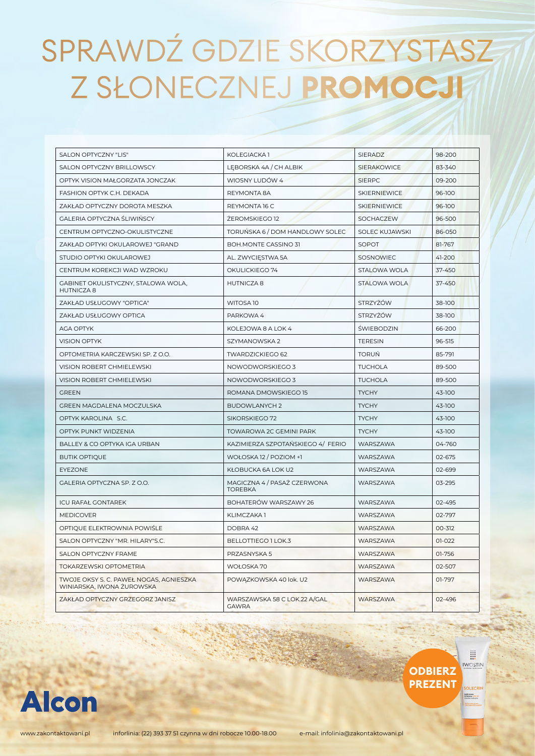| SALON OPTYCZNY "LIS"                                                 | KOLEGIACKA 1                                  | SIERADZ               | 98-200 |
|----------------------------------------------------------------------|-----------------------------------------------|-----------------------|--------|
| SALON OPTYCZNY BRILLOWSCY                                            | LEBORSKA 4A / CH ALBIK                        | <b>SIERAKOWICE</b>    | 83-340 |
| OPTYK VISION MAŁGORZATA JONCZAK                                      | WIOSNY LUDÓW 4                                | <b>SIERPC</b>         | 09-200 |
| FASHION OPTYK C.H. DEKADA                                            | REYMONTA 8A                                   | <b>SKIERNIEWICE</b>   | 96-100 |
| ZAKŁAD OPTYCZNY DOROTA MESZKA                                        | REYMONTA 16 C                                 | <b>SKIERNIEWICE</b>   | 96-100 |
| GALERIA OPTYCZNA ŚLIWIŃSCY                                           | ŻEROMSKIEGO 12                                | SOCHACZEW             | 96-500 |
| CENTRUM OPTYCZNO-OKULISTYCZNE                                        | TORUNSKA 6 / DOM HANDLOWY SOLEC               | <b>SOLEC KUJAWSKI</b> | 86-050 |
| ZAKŁAD OPTYKI OKULAROWEJ "GRAND                                      | BOH.MONTE CASSINO 31                          | SOPOT                 | 81-767 |
| STUDIO OPTYKI OKULAROWEJ                                             | AL. ZWYCIĘSTWA 5A                             | SOSNOWIEC             | 41-200 |
| CENTRUM KOREKCJI WAD WZROKU                                          | OKULICKIEGO 74                                | STALOWA WOLA          | 37-450 |
| GABINET OKULISTYCZNY, STALOWA WOLA.<br><b>HUTNICZA8</b>              | <b>HUTNICZA8</b>                              | STALOWA WOLA          | 37-450 |
| ZAKŁAD USŁUGOWY "OPTICA"                                             | WITOSA 10                                     | <b>STRZYŻÓW</b>       | 38-100 |
| ZAKŁAD USŁUGOWY OPTICA                                               | PARKOWA 4                                     | STRZYŻÓW              | 38-100 |
| <b>AGA OPTYK</b>                                                     | KOLEJOWA 8 A LOK 4                            | ŚWIEBODZIN            | 66-200 |
| <b>VISION OPTYK</b>                                                  | SZYMANOWSKA 2                                 | <b>TERESIN</b>        | 96-515 |
| OPTOMETRIA KARCZEWSKI SP. Z O.O.                                     | TWARDZICKIEGO 62                              | <b>TORUŃ</b>          | 85-791 |
| VISION ROBERT CHMIELEWSKI                                            | NOWODWORSKIEGO 3                              | <b>TUCHOLA</b>        | 89-500 |
| VISION ROBERT CHMIELEWSKI                                            | NOWODWORSKIEGO 3                              | <b>TUCHOLA</b>        | 89-500 |
| <b>GREEN</b>                                                         | ROMANA DMOWSKIEGO 15                          | <b>TYCHY</b>          | 43-100 |
| GREEN MAGDALENA MOCZULSKA                                            | <b>BUDOWLANYCH 2</b>                          | <b>TYCHY</b>          | 43-100 |
| OPTYK KAROLINA S.C.                                                  | SIKORSKIEGO 72                                | <b>TYCHY</b>          | 43-100 |
| OPTYK PUNKT WIDZENIA                                                 | TOWAROWA 2C GEMINI PARK                       | <b>TYCHY</b>          | 43-100 |
| BALLEY & CO OPTYKA IGA URBAN                                         | KAZIMIERZA SZPOTAŃSKIEGO 4/FERIO              | WARSZAWA              | 04-760 |
| <b>BUTIK OPTIQUE</b>                                                 | WOŁOSKA 12 / POZIOM +1                        | WARSZAWA              | 02-675 |
| <b>EYEZONE</b>                                                       | KŁOBUCKA 6A LOK U2                            | WARSZAWA              | 02-699 |
| GALERIA OPTYCZNA SP. Z O.O.                                          | MAGICZNA 4 / PASAŻ CZERWONA<br><b>TOREBKA</b> | WARSZAWA              | 03-295 |
| <b>ICU RAFAŁ GONTAREK</b>                                            | BOHATERÓW WARSZAWY 26                         | WARSZAWA              | 02-495 |
| <b>MEDICOVER</b>                                                     | KLIMCZAKA 1                                   | WARSZAWA              | 02-797 |
| OPTIQUE ELEKTROWNIA POWIŚLE                                          | DOBRA 42                                      | WARSZAWA              | 00-312 |
| SALON OPTYCZNY "MR. HILARY"S.C.                                      | BELLOTTIEGO 1 LOK.3                           | WARSZAWA              | 01-022 |
| SALON OPTYCZNY FRAME                                                 | PRZASNYSKA 5                                  | WARSZAWA              | 01-756 |
| TOKARZEWSKI OPTOMETRIA                                               | WOŁOSKA 70                                    | WARSZAWA              | 02-507 |
| TWOJE OKSY S. C. PAWEŁ NOGAS, AGNIESZKA<br>WINIARSKA, IWONA ŻUROWSKA | POWĄZKOWSKA 40 lok. U2                        | WARSZAWA              | 01-797 |
| ZAKŁAD OPTYCZNY GRZEGORZ JANISZ                                      | WARSZAWSKA 58 C LOK.22 A/GAL<br><b>GAWRA</b>  | <b>WARSZAWA</b>       | 02-496 |